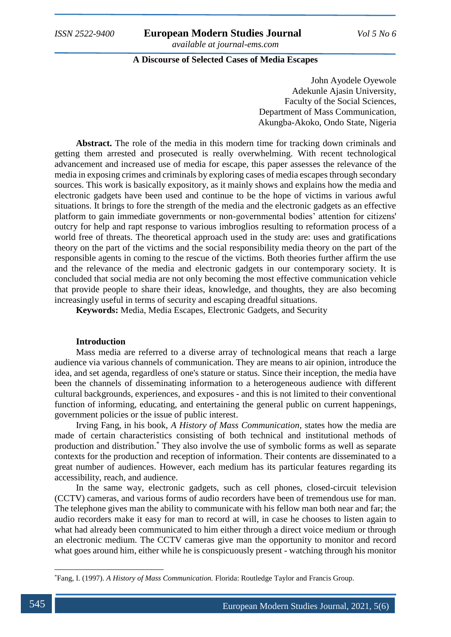### **A Discourse of Selected Cases of Media Escapes**

John Ayodele Oyewole Adekunle Ajasin University, Faculty of the Social Sciences, Department of Mass Communication, Akungba-Akoko, Ondo State, Nigeria

**Abstract.** The role of the media in this modern time for tracking down criminals and getting them arrested and prosecuted is really overwhelming. With recent technological advancement and increased use of media for escape, this paper assesses the relevance of the media in exposing crimes and criminals by exploring cases of media escapes through secondary sources. This work is basically expository, as it mainly shows and explains how the media and electronic gadgets have been used and continue to be the hope of victims in various awful situations. It brings to fore the strength of the media and the electronic gadgets as an effective platform to gain immediate governments or non-governmental bodies' attention for citizens' outcry for help and rapt response to various imbroglios resulting to reformation process of a world free of threats. The theoretical approach used in the study are: uses and gratifications theory on the part of the victims and the social responsibility media theory on the part of the responsible agents in coming to the rescue of the victims. Both theories further affirm the use and the relevance of the media and electronic gadgets in our contemporary society. It is concluded that social media are not only becoming the most effective communication vehicle that provide people to share their ideas, knowledge, and thoughts, they are also becoming increasingly useful in terms of security and escaping dreadful situations.

**Keywords:** Media, Media Escapes, Electronic Gadgets, and Security

#### **Introduction**

Mass media are referred to a diverse array of technological means that reach a large audience via various channels of communication. They are means to air opinion, introduce the idea, and set agenda, regardless of one's stature or status. Since their inception, the media have been the channels of disseminating information to a heterogeneous audience with different cultural backgrounds, experiences, and exposures - and this is not limited to their conventional function of informing, educating, and entertaining the general public on current happenings, government policies or the issue of public interest.

Irving Fang, in his book, *A History of Mass Communication*, states how the media are made of certain characteristics consisting of both technical and institutional methods of production and distribution.\* They also involve the use of symbolic forms as well as separate contexts for the production and reception of information. Their contents are disseminated to a great number of audiences. However, each medium has its particular features regarding its accessibility, reach, and audience.

In the same way, electronic gadgets, such as cell phones, closed-circuit television (CCTV) cameras, and various forms of audio recorders have been of tremendous use for man. The telephone gives man the ability to communicate with his fellow man both near and far; the audio recorders make it easy for man to record at will, in case he chooses to listen again to what had already been communicated to him either through a direct voice medium or through an electronic medium. The CCTV cameras give man the opportunity to monitor and record what goes around him, either while he is conspicuously present - watching through his monitor

<sup>\*</sup>Fang, I. (1997). *A History of Mass Communication.* Florida: Routledge Taylor and Francis Group.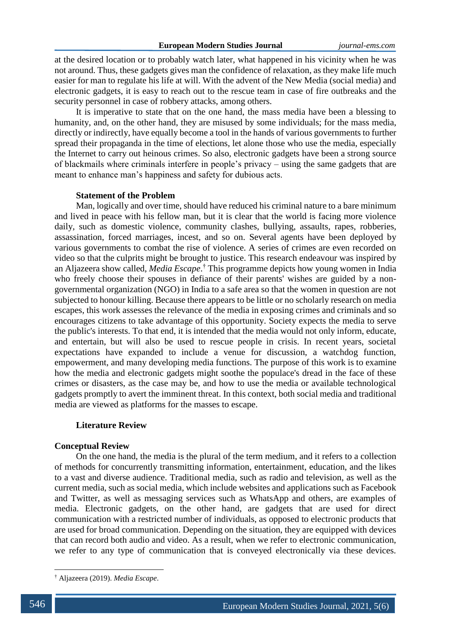at the desired location or to probably watch later, what happened in his vicinity when he was not around. Thus, these gadgets gives man the confidence of relaxation, as they make life much easier for man to regulate his life at will. With the advent of the New Media (social media) and electronic gadgets, it is easy to reach out to the rescue team in case of fire outbreaks and the security personnel in case of robbery attacks, among others.

It is imperative to state that on the one hand, the mass media have been a blessing to humanity, and, on the other hand, they are misused by some individuals; for the mass media, directly or indirectly, have equally become a tool in the hands of various governments to further spread their propaganda in the time of elections, let alone those who use the media, especially the Internet to carry out heinous crimes. So also, electronic gadgets have been a strong source of blackmails where criminals interfere in people's privacy – using the same gadgets that are meant to enhance man's happiness and safety for dubious acts.

### **Statement of the Problem**

Man, logically and over time, should have reduced his criminal nature to a bare minimum and lived in peace with his fellow man, but it is clear that the world is facing more violence daily, such as domestic violence, community clashes, bullying, assaults, rapes, robberies, assassination, forced marriages, incest, and so on. Several agents have been deployed by various governments to combat the rise of violence. A series of crimes are even recorded on video so that the culprits might be brought to justice. This research endeavour was inspired by an Aljazeera show called, *Media Escape*. † This programme depicts how young women in India who freely choose their spouses in defiance of their parents' wishes are guided by a nongovernmental organization (NGO) in India to a safe area so that the women in question are not subjected to honour killing. Because there appears to be little or no scholarly research on media escapes, this work assesses the relevance of the media in exposing crimes and criminals and so encourages citizens to take advantage of this opportunity. Society expects the media to serve the public's interests. To that end, it is intended that the media would not only inform, educate, and entertain, but will also be used to rescue people in crisis. In recent years, societal expectations have expanded to include a venue for discussion, a watchdog function, empowerment, and many developing media functions. The purpose of this work is to examine how the media and electronic gadgets might soothe the populace's dread in the face of these crimes or disasters, as the case may be, and how to use the media or available technological gadgets promptly to avert the imminent threat. In this context, both social media and traditional media are viewed as platforms for the masses to escape.

#### **Literature Review**

#### **Conceptual Review**

On the one hand, the media is the plural of the term medium, and it refers to a collection of methods for concurrently transmitting information, entertainment, education, and the likes to a vast and diverse audience. Traditional media, such as radio and television, as well as the current media, such as social media, which include websites and applications such as Facebook and Twitter, as well as messaging services such as WhatsApp and others, are examples of media. Electronic gadgets, on the other hand, are gadgets that are used for direct communication with a restricted number of individuals, as opposed to electronic products that are used for broad communication. Depending on the situation, they are equipped with devices that can record both audio and video. As a result, when we refer to electronic communication, we refer to any type of communication that is conveyed electronically via these devices.

<sup>†</sup> Aljazeera (2019). *Media Escape*.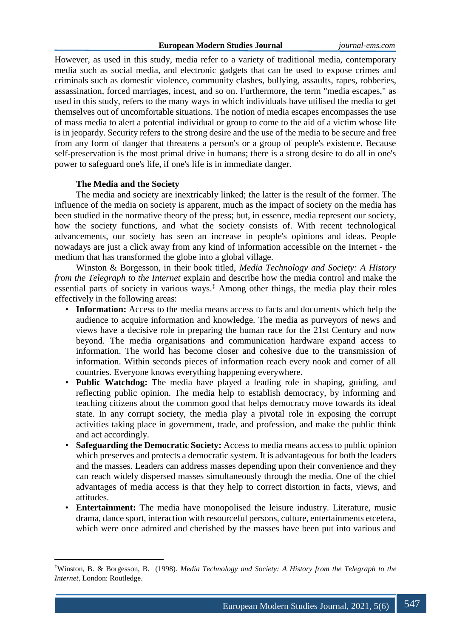However, as used in this study, media refer to a variety of traditional media, contemporary media such as social media, and electronic gadgets that can be used to expose crimes and criminals such as domestic violence, community clashes, bullying, assaults, rapes, robberies, assassination, forced marriages, incest, and so on. Furthermore, the term "media escapes," as used in this study, refers to the many ways in which individuals have utilised the media to get themselves out of uncomfortable situations. The notion of media escapes encompasses the use of mass media to alert a potential individual or group to come to the aid of a victim whose life is in jeopardy. Security refers to the strong desire and the use of the media to be secure and free from any form of danger that threatens a person's or a group of people's existence. Because self-preservation is the most primal drive in humans; there is a strong desire to do all in one's power to safeguard one's life, if one's life is in immediate danger.

### **The Media and the Society**

**.** 

The media and society are inextricably linked; the latter is the result of the former. The influence of the media on society is apparent, much as the impact of society on the media has been studied in the normative theory of the press; but, in essence, media represent our society, how the society functions, and what the society consists of. With recent technological advancements, our society has seen an increase in people's opinions and ideas. People nowadays are just a click away from any kind of information accessible on the Internet - the medium that has transformed the globe into a global village.

Winston & Borgesson, in their book titled, *Media Technology and Society: A History from the Telegraph to the Internet* explain and describe how the media control and make the essential parts of society in various ways.<sup> $\ddagger$ </sup> Among other things, the media play their roles effectively in the following areas:

- **Information:** Access to the media means access to facts and documents which help the audience to acquire information and knowledge. The media as purveyors of news and views have a decisive role in preparing the human race for the 21st Century and now beyond. The media organisations and communication hardware expand access to information. The world has become closer and cohesive due to the transmission of information. Within seconds pieces of information reach every nook and corner of all countries. Everyone knows everything happening everywhere.
- **Public Watchdog:** The media have played a leading role in shaping, guiding, and reflecting public opinion. The media help to establish democracy, by informing and teaching citizens about the common good that helps democracy move towards its ideal state. In any corrupt society, the media play a pivotal role in exposing the corrupt activities taking place in government, trade, and profession, and make the public think and act accordingly.
- **Safeguarding the Democratic Society:** Access to media means access to public opinion which preserves and protects a democratic system. It is advantageous for both the leaders and the masses. Leaders can address masses depending upon their convenience and they can reach widely dispersed masses simultaneously through the media. One of the chief advantages of media access is that they help to correct distortion in facts, views, and attitudes.
- **Entertainment:** The media have monopolised the leisure industry. Literature, music drama, dance sport, interaction with resourceful persons, culture, entertainments etcetera, which were once admired and cherished by the masses have been put into various and

<sup>‡</sup>Winston, B. & Borgesson, B. (1998). *Media Technology and Society: A History from the Telegraph to the Internet*. London: Routledge.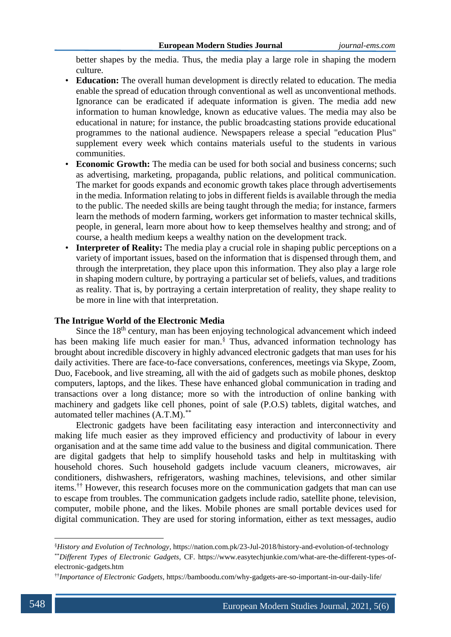better shapes by the media. Thus, the media play a large role in shaping the modern culture.

- **Education:** The overall human development is directly related to education. The media enable the spread of education through conventional as well as unconventional methods. Ignorance can be eradicated if adequate information is given. The media add new information to human knowledge, known as educative values. The media may also be educational in nature; for instance, the public broadcasting stations provide educational programmes to the national audience. Newspapers release a special "education Plus" supplement every week which contains materials useful to the students in various communities.
- **Economic Growth:** The media can be used for both social and business concerns; such as advertising, marketing, propaganda, public relations, and political communication. The market for goods expands and economic growth takes place through advertisements in the media. Information relating to jobs in different fields is available through the media to the public. The needed skills are being taught through the media; for instance, farmers learn the methods of modern farming, workers get information to master technical skills, people, in general, learn more about how to keep themselves healthy and strong; and of course, a health medium keeps a wealthy nation on the development track.
- **Interpreter of Reality:** The media play a crucial role in shaping public perceptions on a variety of important issues, based on the information that is dispensed through them, and through the interpretation, they place upon this information. They also play a large role in shaping modern culture, by portraying a particular set of beliefs, values, and traditions as reality. That is, by portraying a certain interpretation of reality, they shape reality to be more in line with that interpretation.

## **The Intrigue World of the Electronic Media**

Since the 18<sup>th</sup> century, man has been enjoying technological advancement which indeed has been making life much easier for man.<sup>§</sup> Thus, advanced information technology has brought about incredible discovery in highly advanced electronic gadgets that man uses for his daily activities. There are face-to-face conversations, conferences, meetings via Skype, Zoom, Duo, Facebook, and live streaming, all with the aid of gadgets such as mobile phones, desktop computers, laptops, and the likes. These have enhanced global communication in trading and transactions over a long distance; more so with the introduction of online banking with machinery and gadgets like cell phones, point of sale (P.O.S) tablets, digital watches, and automated teller machines (A.T.M).\*\*

Electronic gadgets have been facilitating easy interaction and interconnectivity and making life much easier as they improved efficiency and productivity of labour in every organisation and at the same time add value to the business and digital communication. There are digital gadgets that help to simplify household tasks and help in multitasking with household chores. Such household gadgets include vacuum cleaners, microwaves, air conditioners, dishwashers, refrigerators, washing machines, televisions, and other similar items.†† However, this research focuses more on the communication gadgets that man can use to escape from troubles. The communication gadgets include radio, satellite phone, television, computer, mobile phone, and the likes. Mobile phones are small portable devices used for digital communication. They are used for storing information, either as text messages, audio

1

<sup>§</sup>*History and Evolution of Technology*, https://nation.com.pk/23-Jul-2018/history-and-evolution-of-technology \*\**Different Types of Electronic Gadgets,* CF. https://www.easytechjunkie.com/what-are-the-different-types-of-

electronic-gadgets.htm

<sup>††</sup>*Importance of Electronic Gadgets,* https://bamboodu.com/why-gadgets-are-so-important-in-our-daily-life/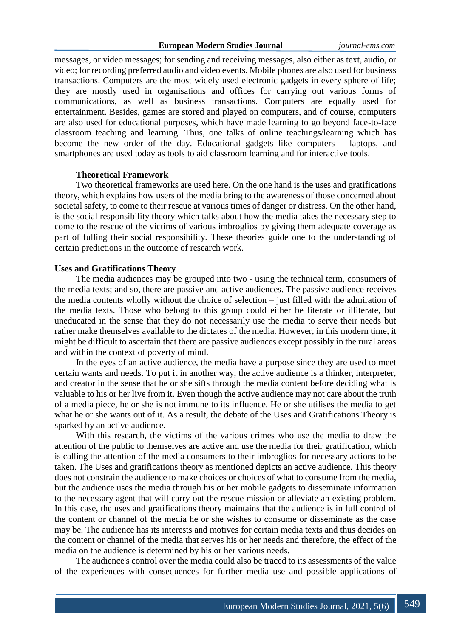messages, or video messages; for sending and receiving messages, also either as text, audio, or video; for recording preferred audio and video events. Mobile phones are also used for business transactions. Computers are the most widely used electronic gadgets in every sphere of life; they are mostly used in organisations and offices for carrying out various forms of communications, as well as business transactions. Computers are equally used for entertainment. Besides, games are stored and played on computers, and of course, computers are also used for educational purposes, which have made learning to go beyond face-to-face classroom teaching and learning. Thus, one talks of online teachings/learning which has become the new order of the day. Educational gadgets like computers – laptops, and smartphones are used today as tools to aid classroom learning and for interactive tools.

#### **Theoretical Framework**

Two theoretical frameworks are used here. On the one hand is the uses and gratifications theory, which explains how users of the media bring to the awareness of those concerned about societal safety, to come to their rescue at various times of danger or distress. On the other hand, is the social responsibility theory which talks about how the media takes the necessary step to come to the rescue of the victims of various imbroglios by giving them adequate coverage as part of fulling their social responsibility. These theories guide one to the understanding of certain predictions in the outcome of research work.

## **Uses and Gratifications Theory**

The media audiences may be grouped into two - using the technical term, consumers of the media texts; and so, there are passive and active audiences. The passive audience receives the media contents wholly without the choice of selection – just filled with the admiration of the media texts. Those who belong to this group could either be literate or illiterate, but uneducated in the sense that they do not necessarily use the media to serve their needs but rather make themselves available to the dictates of the media. However, in this modern time, it might be difficult to ascertain that there are passive audiences except possibly in the rural areas and within the context of poverty of mind.

In the eyes of an active audience, the media have a purpose since they are used to meet certain wants and needs. To put it in another way, the active audience is a thinker, interpreter, and creator in the sense that he or she sifts through the media content before deciding what is valuable to his or her live from it. Even though the active audience may not care about the truth of a media piece, he or she is not immune to its influence. He or she utilises the media to get what he or she wants out of it. As a result, the debate of the Uses and Gratifications Theory is sparked by an active audience.

With this research, the victims of the various crimes who use the media to draw the attention of the public to themselves are active and use the media for their gratification, which is calling the attention of the media consumers to their imbroglios for necessary actions to be taken. The Uses and gratifications theory as mentioned depicts an active audience. This theory does not constrain the audience to make choices or choices of what to consume from the media, but the audience uses the media through his or her mobile gadgets to disseminate information to the necessary agent that will carry out the rescue mission or alleviate an existing problem. In this case, the uses and gratifications theory maintains that the audience is in full control of the content or channel of the media he or she wishes to consume or disseminate as the case may be. The audience has its interests and motives for certain media texts and thus decides on the content or channel of the media that serves his or her needs and therefore, the effect of the media on the audience is determined by his or her various needs.

The audience's control over the media could also be traced to its assessments of the value of the experiences with consequences for further media use and possible applications of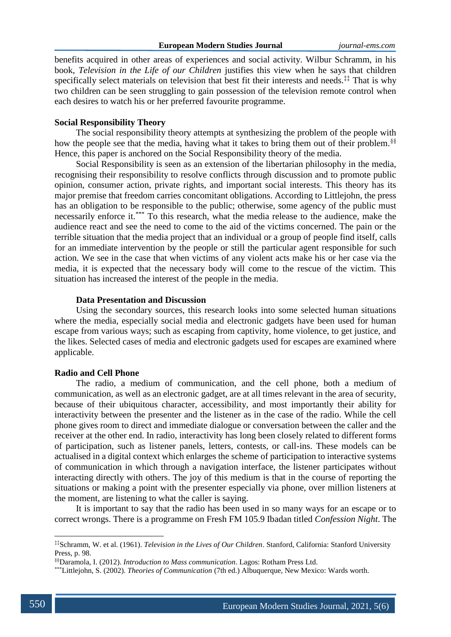benefits acquired in other areas of experiences and social activity. Wilbur Schramm, in his book, *Television in the Life of our Children* justifies this view when he says that children specifically select materials on television that best fit their interests and needs.<sup>‡‡</sup> That is why two children can be seen struggling to gain possession of the television remote control when each desires to watch his or her preferred favourite programme.

### **Social Responsibility Theory**

The social responsibility theory attempts at synthesizing the problem of the people with how the people see that the media, having what it takes to bring them out of their problem.<sup>§§</sup> Hence, this paper is anchored on the Social Responsibility theory of the media.

Social Responsibility is seen as an extension of the libertarian philosophy in the media, recognising their responsibility to resolve conflicts through discussion and to promote public opinion, consumer action, private rights, and important social interests. This theory has its major premise that freedom carries concomitant obligations. According to Littlejohn, the press has an obligation to be responsible to the public; otherwise, some agency of the public must necessarily enforce it.\*\*\* To this research, what the media release to the audience, make the audience react and see the need to come to the aid of the victims concerned. The pain or the terrible situation that the media project that an individual or a group of people find itself, calls for an immediate intervention by the people or still the particular agent responsible for such action. We see in the case that when victims of any violent acts make his or her case via the media, it is expected that the necessary body will come to the rescue of the victim. This situation has increased the interest of the people in the media.

#### **Data Presentation and Discussion**

Using the secondary sources, this research looks into some selected human situations where the media, especially social media and electronic gadgets have been used for human escape from various ways; such as escaping from captivity, home violence, to get justice, and the likes. Selected cases of media and electronic gadgets used for escapes are examined where applicable.

### **Radio and Cell Phone**

The radio, a medium of communication, and the cell phone, both a medium of communication, as well as an electronic gadget, are at all times relevant in the area of security, because of their ubiquitous character, accessibility, and most importantly their ability for interactivity between the presenter and the listener as in the case of the radio. While the cell phone gives room to direct and immediate dialogue or conversation between the caller and the receiver at the other end. In radio, interactivity has long been closely related to different forms of participation, such as listener panels, letters, contests, or call-ins. These models can be actualised in a digital context which enlarges the scheme of participation to interactive systems of communication in which through a navigation interface, the listener participates without interacting directly with others. The joy of this medium is that in the course of reporting the situations or making a point with the presenter especially via phone, over million listeners at the moment, are listening to what the caller is saying.

It is important to say that the radio has been used in so many ways for an escape or to correct wrongs. There is a programme on Fresh FM 105.9 Ibadan titled *Confession Night*. The

<sup>‡‡</sup>Schramm, W. et al. (1961). *Television in the Lives of Our Children*. Stanford, California: Stanford University Press, p. 98.

<sup>§§</sup>Daramola, I. (2012). *Introduction to Mass communication*. Lagos: Rotham Press Ltd.

<sup>\*\*\*</sup>Littlejohn, S. (2002). *Theories of Communication* (7th ed.) Albuquerque, New Mexico: Wards worth.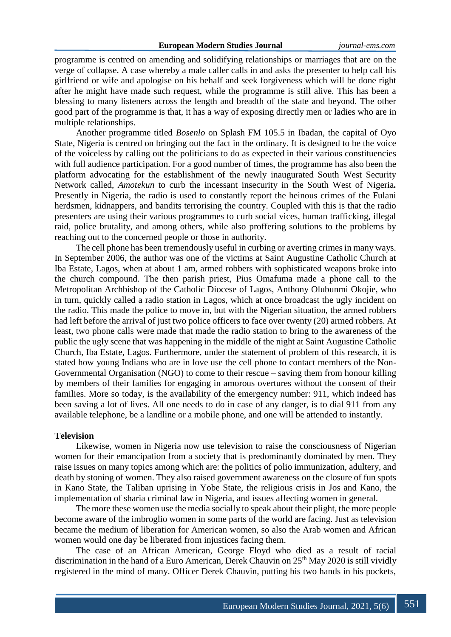programme is centred on amending and solidifying relationships or marriages that are on the verge of collapse. A case whereby a male caller calls in and asks the presenter to help call his girlfriend or wife and apologise on his behalf and seek forgiveness which will be done right after he might have made such request, while the programme is still alive. This has been a blessing to many listeners across the length and breadth of the state and beyond. The other good part of the programme is that, it has a way of exposing directly men or ladies who are in multiple relationships.

Another programme titled *Bosenlo* on Splash FM 105.5 in Ibadan, the capital of Oyo State, Nigeria is centred on bringing out the fact in the ordinary. It is designed to be the voice of the voiceless by calling out the politicians to do as expected in their various constituencies with full audience participation. For a good number of times, the programme has also been the platform advocating for the establishment of the newly inaugurated South West Security Network called, *Amotekun* to curb the incessant insecurity in the South West of Nigeria*.* Presently in Nigeria, the radio is used to constantly report the heinous crimes of the Fulani herdsmen, kidnappers, and bandits terrorising the country. Coupled with this is that the radio presenters are using their various programmes to curb social vices, human trafficking, illegal raid, police brutality, and among others, while also proffering solutions to the problems by reaching out to the concerned people or those in authority.

The cell phone has been tremendously useful in curbing or averting crimes in many ways. In September 2006, the author was one of the victims at Saint Augustine Catholic Church at Iba Estate, Lagos, when at about 1 am, armed robbers with sophisticated weapons broke into the church compound. The then parish priest, Pius Omafuma made a phone call to the Metropolitan Archbishop of the Catholic Diocese of Lagos, Anthony Olubunmi Okojie, who in turn, quickly called a radio station in Lagos, which at once broadcast the ugly incident on the radio. This made the police to move in, but with the Nigerian situation, the armed robbers had left before the arrival of just two police officers to face over twenty (20) armed robbers. At least, two phone calls were made that made the radio station to bring to the awareness of the public the ugly scene that was happening in the middle of the night at Saint Augustine Catholic Church, Iba Estate, Lagos. Furthermore, under the statement of problem of this research, it is stated how young Indians who are in love use the cell phone to contact members of the Non-Governmental Organisation (NGO) to come to their rescue – saving them from honour killing by members of their families for engaging in amorous overtures without the consent of their families. More so today, is the availability of the emergency number: 911, which indeed has been saving a lot of lives. All one needs to do in case of any danger, is to dial 911 from any available telephone, be a landline or a mobile phone, and one will be attended to instantly.

#### **Television**

Likewise, women in Nigeria now use television to raise the consciousness of Nigerian women for their emancipation from a society that is predominantly dominated by men. They raise issues on many topics among which are: the politics of polio immunization, adultery, and death by stoning of women. They also raised government awareness on the closure of fun spots in Kano State, the Taliban uprising in Yobe State, the religious crisis in Jos and Kano, the implementation of sharia criminal law in Nigeria, and issues affecting women in general.

The more these women use the media socially to speak about their plight, the more people become aware of the imbroglio women in some parts of the world are facing. Just as television became the medium of liberation for American women, so also the Arab women and African women would one day be liberated from injustices facing them.

The case of an African American, George Floyd who died as a result of racial discrimination in the hand of a Euro American, Derek Chauvin on  $25<sup>th</sup>$  May 2020 is still vividly registered in the mind of many. Officer Derek Chauvin, putting his two hands in his pockets,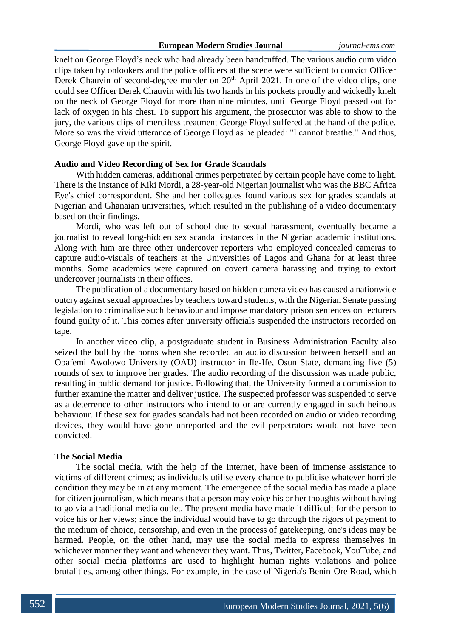knelt on George Floyd's neck who had already been handcuffed. The various audio cum video clips taken by onlookers and the police officers at the scene were sufficient to convict Officer Derek Chauvin of second-degree murder on 20<sup>th</sup> April 2021. In one of the video clips, one could see Officer Derek Chauvin with his two hands in his pockets proudly and wickedly knelt on the neck of George Floyd for more than nine minutes, until George Floyd passed out for lack of oxygen in his chest. To support his argument, the prosecutor was able to show to the jury, the various clips of merciless treatment George Floyd suffered at the hand of the police. More so was the vivid utterance of George Floyd as he pleaded: "I cannot breathe." And thus, George Floyd gave up the spirit.

### **Audio and Video Recording of Sex for Grade Scandals**

With hidden cameras, additional crimes perpetrated by certain people have come to light. There is the instance of Kiki Mordi, a 28-year-old Nigerian journalist who was the BBC Africa Eye's chief correspondent. She and her colleagues found various sex for grades scandals at Nigerian and Ghanaian universities, which resulted in the publishing of a video documentary based on their findings.

Mordi, who was left out of school due to sexual harassment, eventually became a journalist to reveal long-hidden sex scandal instances in the Nigerian academic institutions. Along with him are three other undercover reporters who employed concealed cameras to capture audio-visuals of teachers at the Universities of Lagos and Ghana for at least three months. Some academics were captured on covert camera harassing and trying to extort undercover journalists in their offices.

The publication of a documentary based on hidden camera video has caused a nationwide outcry against sexual approaches by teachers toward students, with the Nigerian Senate passing legislation to criminalise such behaviour and impose mandatory prison sentences on lecturers found guilty of it. This comes after university officials suspended the instructors recorded on tape.

In another video clip, a postgraduate student in Business Administration Faculty also seized the bull by the horns when she recorded an audio discussion between herself and an Obafemi Awolowo University (OAU) instructor in Ile-Ife, Osun State, demanding five (5) rounds of sex to improve her grades. The audio recording of the discussion was made public, resulting in public demand for justice. Following that, the University formed a commission to further examine the matter and deliver justice. The suspected professor was suspended to serve as a deterrence to other instructors who intend to or are currently engaged in such heinous behaviour. If these sex for grades scandals had not been recorded on audio or video recording devices, they would have gone unreported and the evil perpetrators would not have been convicted.

#### **The Social Media**

The social media, with the help of the Internet, have been of immense assistance to victims of different crimes; as individuals utilise every chance to publicise whatever horrible condition they may be in at any moment. The emergence of the social media has made a place for citizen journalism, which means that a person may voice his or her thoughts without having to go via a traditional media outlet. The present media have made it difficult for the person to voice his or her views; since the individual would have to go through the rigors of payment to the medium of choice, censorship, and even in the process of gatekeeping, one's ideas may be harmed. People, on the other hand, may use the social media to express themselves in whichever manner they want and whenever they want. Thus, Twitter, Facebook, YouTube, and other social media platforms are used to highlight human rights violations and police brutalities, among other things. For example, in the case of Nigeria's Benin-Ore Road, which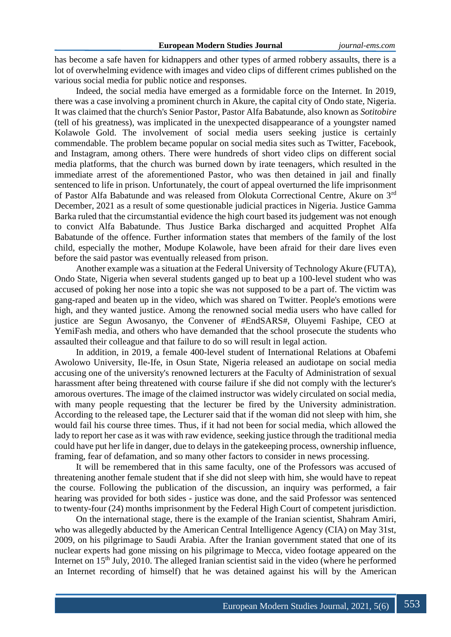has become a safe haven for kidnappers and other types of armed robbery assaults, there is a lot of overwhelming evidence with images and video clips of different crimes published on the various social media for public notice and responses.

Indeed, the social media have emerged as a formidable force on the Internet. In 2019, there was a case involving a prominent church in Akure, the capital city of Ondo state, Nigeria. It was claimed that the church's Senior Pastor, Pastor Alfa Babatunde, also known as *Sotitobire* (tell of his greatness), was implicated in the unexpected disappearance of a youngster named Kolawole Gold. The involvement of social media users seeking justice is certainly commendable. The problem became popular on social media sites such as Twitter, Facebook, and Instagram, among others. There were hundreds of short video clips on different social media platforms, that the church was burned down by irate teenagers, which resulted in the immediate arrest of the aforementioned Pastor, who was then detained in jail and finally sentenced to life in prison. Unfortunately, the court of appeal overturned the life imprisonment of Pastor Alfa Babatunde and was released from Olokuta Correctional Centre, Akure on 3rd December, 2021 as a result of some questionable judicial practices in Nigeria. Justice Gamma Barka ruled that the circumstantial evidence the high court based its judgement was not enough to convict Alfa Babatunde. Thus Justice Barka discharged and acquitted Prophet Alfa Babatunde of the offence. Further information states that members of the family of the lost child, especially the mother, Modupe Kolawole, have been afraid for their dare lives even before the said pastor was eventually released from prison.

Another example was a situation at the Federal University of Technology Akure (FUTA), Ondo State, Nigeria when several students ganged up to beat up a 100-level student who was accused of poking her nose into a topic she was not supposed to be a part of. The victim was gang-raped and beaten up in the video, which was shared on Twitter. People's emotions were high, and they wanted justice. Among the renowned social media users who have called for justice are Segun Awosanyo, the Convener of #EndSARS#, Oluyemi Fashipe, CEO at YemiFash media, and others who have demanded that the school prosecute the students who assaulted their colleague and that failure to do so will result in legal action.

In addition, in 2019, a female 400-level student of International Relations at Obafemi Awolowo University, Ile-Ife, in Osun State, Nigeria released an audiotape on social media accusing one of the university's renowned lecturers at the Faculty of Administration of sexual harassment after being threatened with course failure if she did not comply with the lecturer's amorous overtures. The image of the claimed instructor was widely circulated on social media, with many people requesting that the lecturer be fired by the University administration. According to the released tape, the Lecturer said that if the woman did not sleep with him, she would fail his course three times. Thus, if it had not been for social media, which allowed the lady to report her case as it was with raw evidence, seeking justice through the traditional media could have put her life in danger, due to delays in the gatekeeping process, ownership influence, framing, fear of defamation, and so many other factors to consider in news processing.

It will be remembered that in this same faculty, one of the Professors was accused of threatening another female student that if she did not sleep with him, she would have to repeat the course. Following the publication of the discussion, an inquiry was performed, a fair hearing was provided for both sides - justice was done, and the said Professor was sentenced to twenty-four (24) months imprisonment by the Federal High Court of competent jurisdiction.

On the international stage, there is the example of the Iranian scientist, Shahram Amiri, who was allegedly abducted by the American Central Intelligence Agency (CIA) on May 31st, 2009, on his pilgrimage to Saudi Arabia. After the Iranian government stated that one of its nuclear experts had gone missing on his pilgrimage to Mecca, video footage appeared on the Internet on 15<sup>th</sup> July, 2010. The alleged Iranian scientist said in the video (where he performed an Internet recording of himself) that he was detained against his will by the American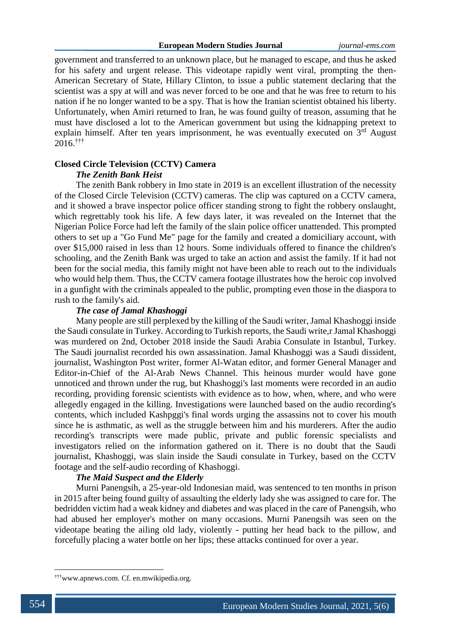government and transferred to an unknown place, but he managed to escape, and thus he asked for his safety and urgent release. This videotape rapidly went viral, prompting the then-American Secretary of State, Hillary Clinton, to issue a public statement declaring that the scientist was a spy at will and was never forced to be one and that he was free to return to his nation if he no longer wanted to be a spy. That is how the Iranian scientist obtained his liberty. Unfortunately, when Amiri returned to Iran, he was found guilty of treason, assuming that he must have disclosed a lot to the American government but using the kidnapping pretext to explain himself. After ten years imprisonment, he was eventually executed on  $3<sup>rd</sup>$  August 2016.†††

# **Closed Circle Television (CCTV) Camera** *The Zenith Bank Heist*

The zenith Bank robbery in Imo state in 2019 is an excellent illustration of the necessity of the Closed Circle Television (CCTV) cameras. The clip was captured on a CCTV camera, and it showed a brave inspector police officer standing strong to fight the robbery onslaught, which regrettably took his life. A few days later, it was revealed on the Internet that the Nigerian Police Force had left the family of the slain police officer unattended. This prompted others to set up a "Go Fund Me" page for the family and created a domiciliary account, with over \$15,000 raised in less than 12 hours. Some individuals offered to finance the children's schooling, and the Zenith Bank was urged to take an action and assist the family. If it had not been for the social media, this family might not have been able to reach out to the individuals who would help them. Thus, the CCTV camera footage illustrates how the heroic cop involved in a gunfight with the criminals appealed to the public, prompting even those in the diaspora to rush to the family's aid.

## *The case of Jamal Khashoggi*

Many people are still perplexed by the killing of the Saudi writer, Jamal Khashoggi inside the Saudi consulate in Turkey. According to Turkish reports, the Saudi write,r Jamal Khashoggi was murdered on 2nd, October 2018 inside the Saudi Arabia Consulate in Istanbul, Turkey. The Saudi journalist recorded his own assassination. Jamal Khashoggi was a Saudi dissident, journalist, Washington Post writer, former Al-Watan editor, and former General Manager and Editor-in-Chief of the Al-Arab News Channel. This heinous murder would have gone unnoticed and thrown under the rug, but Khashoggi's last moments were recorded in an audio recording, providing forensic scientists with evidence as to how, when, where, and who were allegedly engaged in the killing. Investigations were launched based on the audio recording's contents, which included Kashpggi's final words urging the assassins not to cover his mouth since he is asthmatic, as well as the struggle between him and his murderers. After the audio recording's transcripts were made public, private and public forensic specialists and investigators relied on the information gathered on it. There is no doubt that the Saudi journalist, Khashoggi, was slain inside the Saudi consulate in Turkey, based on the CCTV footage and the self-audio recording of Khashoggi.

## *The Maid Suspect and the Elderly*

Murni Panengsih, a 25-year-old Indonesian maid, was sentenced to ten months in prison in 2015 after being found guilty of assaulting the elderly lady she was assigned to care for. The bedridden victim had a weak kidney and diabetes and was placed in the care of Panengsih, who had abused her employer's mother on many occasions. Murni Panengsih was seen on the videotape beating the ailing old lady, violently - putting her head back to the pillow, and forcefully placing a water bottle on her lips; these attacks continued for over a year.

<sup>†††</sup>www.apnews.com. Cf. en.mwikipedia.org.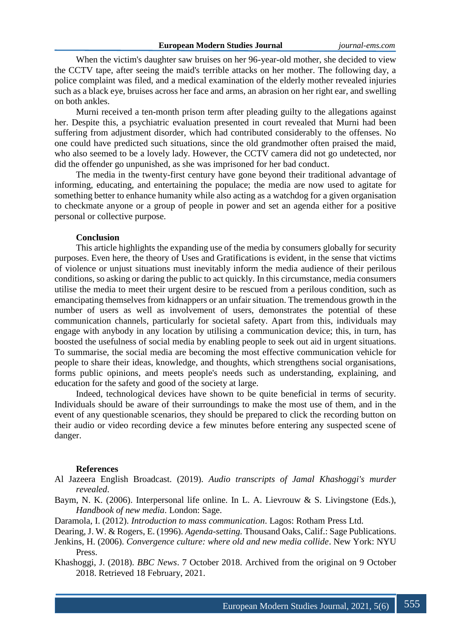When the victim's daughter saw bruises on her 96-year-old mother, she decided to view the CCTV tape, after seeing the maid's terrible attacks on her mother. The following day, a police complaint was filed, and a medical examination of the elderly mother revealed injuries such as a black eye, bruises across her face and arms, an abrasion on her right ear, and swelling on both ankles.

Murni received a ten-month prison term after pleading guilty to the allegations against her. Despite this, a psychiatric evaluation presented in court revealed that Murni had been suffering from adjustment disorder, which had contributed considerably to the offenses. No one could have predicted such situations, since the old grandmother often praised the maid, who also seemed to be a lovely lady. However, the CCTV camera did not go undetected, nor did the offender go unpunished, as she was imprisoned for her bad conduct.

The media in the twenty-first century have gone beyond their traditional advantage of informing, educating, and entertaining the populace; the media are now used to agitate for something better to enhance humanity while also acting as a watchdog for a given organisation to checkmate anyone or a group of people in power and set an agenda either for a positive personal or collective purpose.

#### **Conclusion**

This article highlights the expanding use of the media by consumers globally for security purposes. Even here, the theory of Uses and Gratifications is evident, in the sense that victims of violence or unjust situations must inevitably inform the media audience of their perilous conditions, so asking or daring the public to act quickly. In this circumstance, media consumers utilise the media to meet their urgent desire to be rescued from a perilous condition, such as emancipating themselves from kidnappers or an unfair situation. The tremendous growth in the number of users as well as involvement of users, demonstrates the potential of these communication channels, particularly for societal safety. Apart from this, individuals may engage with anybody in any location by utilising a communication device; this, in turn, has boosted the usefulness of social media by enabling people to seek out aid in urgent situations. To summarise, the social media are becoming the most effective communication vehicle for people to share their ideas, knowledge, and thoughts, which strengthens social organisations, forms public opinions, and meets people's needs such as understanding, explaining, and education for the safety and good of the society at large.

Indeed, technological devices have shown to be quite beneficial in terms of security. Individuals should be aware of their surroundings to make the most use of them, and in the event of any questionable scenarios, they should be prepared to click the recording button on their audio or video recording device a few minutes before entering any suspected scene of danger.

#### **References**

- Al Jazeera English Broadcast. (2019). *Audio transcripts of Jamal Khashoggi's murder revealed*.
- Baym, N. K. (2006). Interpersonal life online. In L. A. Lievrouw & S. Livingstone (Eds.), *Handbook of new media*. London: Sage.
- Daramola, I. (2012). *Introduction to mass communication*. Lagos: Rotham Press Ltd.
- Dearing, J. W. & Rogers, E. (1996). *Agenda-setting.* Thousand Oaks, Calif.: Sage Publications.
- Jenkins, H. (2006). *Convergence culture: where old and new media collide*. New York: NYU Press.
- Khashoggi, J. (2018). *BBC News*. 7 October 2018. Archived from the original on 9 October 2018. Retrieved 18 February, 2021.